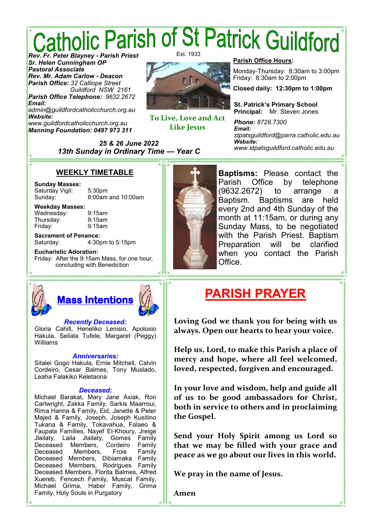# *Catholic Parish of St Patrick Guildford<br>Rev. Er. Peter Blayney - Parish Priest* Est. 1933

**To Live, Love and Act Like Jesus** 

*Sr. Helen Cunningham OP Pastoral Associate Rev. Mr. Adam Carlow* **-** *Deacon Parish Office: 32 Calliope Street Guildford NSW 2161 Parish Office Telephone: 9632.2672*

*Email: admin@guildfordcatholicchurch.org.au Website: www.guildfordcatholicchurch.org.au Manning Foundation: 0497 973 311*

> *25 & 26 June 2022 13th Sunday in Ordinary Time* **—** *Year C*

#### **Parish Office Hours:**

Monday-Thursday: 8:30am to 3:00pm Friday: 8:30am to 2:00pm

**Closed daily: 12:30pm to 1:00pm**

**St. Patrick's Primary School Principal:** Mr. Steven Jones

*Phone: 8728.7300 Email: stpatsguildford@parra.catholic.edu.au Website: www.stpatsguildford.catholic.edu.au*

#### **WEEKLY TIMETABLE**

#### **Sunday Masses:**

Saturday Vigil: 5:30pm Sunday: 8:00am and 10:00am

**Weekday Masses:** Wednesday: 9:15am Thursday: 9:15am Friday: 9:15am

**Sacrament of Penance:** Saturday: 4:30pm to 5:15pm

**Eucharistic Adoration:** Friday: After the 9:15am Mass, for one hour, concluding with Benediction



**Baptisms:** Please contact the Parish Office by telephone (9632.2672) to arrange a Baptism. Baptisms are held every 2nd and 4th Sunday of the month at 11:15am, or during any Sunday Mass, to be negotiated with the Parish Priest. Baptism Preparation will be clarified when you contact the Parish Office.

# **PARISH PRAYER**

**Loving God we thank you for being with us always. Open our hearts to hear your voice.** 

**Help us, Lord, to make this Parish a place of mercy and hope, where all feel welcomed, loved, respected, forgiven and encouraged.** 

**In your love and wisdom, help and guide all of us to be good ambassadors for Christ, both in service to others and in proclaiming the Gospel.** 

**Send your Holy Spirit among us Lord so that we may be filled with your grace and peace as we go about our lives in this world.** 

**We pray in the name of Jesus.** 

**Amen** 



# **Mass Intentions**

#### *Recently Deceased:*

Gloria Cahill, Heneliko Lenisio, Apolosio Hakula, Seilala Tufele, Margaret (Peggy) Williams

#### *Anniversaries:*

Sitalei Gogo Hakula, Ernie Mitchell, Calvin Cordeiro, Cesar Balmes, Tony Muslado, Leaha Falakiko Keletaona

#### *Deceased:*

Michael Barakat, Mary Jane Axiak, Ron Cartwright, Zakka Family, Sarkis Maarroui, Rima Hanna & Family, Eid, Janette & Peter Majed & Family, Joseph, Joseph Kusitino Tukana & Family, Tokavahua, Falaeo & Faupala Families, Nayef El-Khoury, Jreige Jlailaty, Laila Jlailaty, Gomes Family Deceased Members, Cordeiro Deceased Members, Frois Family Deceased Members, Dibiamaka Family Deceased Members, Rodrigues Family Deceased Members, Florita Balmes, Alfred Xuereb, Fencech Family, Muscat Family, Michael Grima, Haber Family, Grima Family, Holy Souls in Purgatory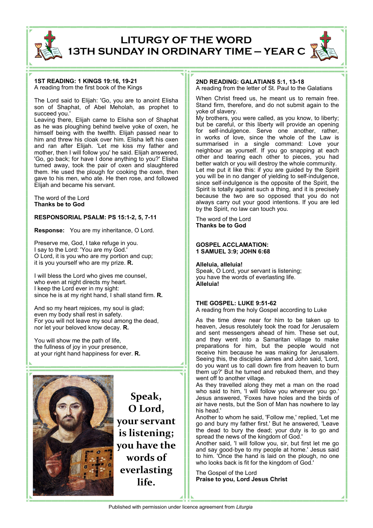

## **LITURGY OF THE WORD 13TH SUNDAY IN ORDINARY TIME — YEAR C**

#### **1ST READING: 1 KINGS 19:16, 19-21** A reading from the first book of the Kings

The Lord said to Elijah: 'Go, you are to anoint Elisha son of Shaphat, of Abel Meholah, as prophet to succeed you.'

Leaving there, Elijah came to Elisha son of Shaphat as he was ploughing behind twelve yoke of oxen, he himself being with the twelfth. Elijah passed near to him and threw his cloak over him. Elisha left his oxen and ran after Elijah. 'Let me kiss my father and mother, then I will follow you' he said. Elijah answered, 'Go, go back; for have I done anything to you?' Elisha turned away, took the pair of oxen and slaughtered them. He used the plough for cooking the oxen, then gave to his men, who ate. He then rose, and followed Elijah and became his servant.

The word of the Lord **Thanks be to God**

#### **RESPONSORIAL PSALM: PS 15:1-2, 5, 7-11**

**Response:** You are my inheritance, O Lord.

Preserve me, God, I take refuge in you. I say to the Lord: 'You are my God.' O Lord, it is you who are my portion and cup; it is you yourself who are my prize. **R.**

I will bless the Lord who gives me counsel, who even at night directs my heart. I keep the Lord ever in my sight: since he is at my right hand, I shall stand firm. **R.**

And so my heart rejoices, my soul is glad; even my body shall rest in safety. For you will not leave my soul among the dead, nor let your beloved know decay. **R.**

You will show me the path of life, the fullness of joy in your presence, at your right hand happiness for ever. **R.**



**Speak, O Lord, your servant is listening; you have the words of everlasting life.** 

#### **2ND READING: GALATIANS 5:1, 13-18** A reading from the letter of St. Paul to the Galatians

When Christ freed us, he meant us to remain free. Stand firm, therefore, and do not submit again to the yoke of slavery.

My brothers, you were called, as you know, to liberty; but be careful, or this liberty will provide an opening for self-indulgence. Serve one another, rather, in works of love, since the whole of the Law is summarised in a single command: Love your neighbour as yourself. If you go snapping at each other and tearing each other to pieces, you had better watch or you will destroy the whole community. Let me put it like this: if you are guided by the Spirit you will be in no danger of yielding to self-indulgence, since self-indulgence is the opposite of the Spirit, the Spirit is totally against such a thing, and it is precisely because the two are so opposed that you do not always carry out your good intentions. If you are led by the Spirit, no law can touch you.

The word of the Lord **Thanks be to God**

#### **GOSPEL ACCLAMATION: 1 SAMUEL 3:9; JOHN 6:68**

#### **Alleluia, alleluia!**

Speak, O Lord, your servant is listening; you have the words of everlasting life. **Alleluia!**

#### **THE GOSPEL: LUKE 9:51-62**

A reading from the holy Gospel according to Luke

As the time drew near for him to be taken up to heaven, Jesus resolutely took the road for Jerusalem and sent messengers ahead of him. These set out, and they went into a Samaritan village to make preparations for him, but the people would not receive him because he was making for Jerusalem. Seeing this, the disciples James and John said, 'Lord, do you want us to call down fire from heaven to burn them up?' But he turned and rebuked them, and they went off to another village.

As they travelled along they met a man on the road who said to him, 'I will follow you wherever you go.' Jesus answered, 'Foxes have holes and the birds of air have nests, but the Son of Man has nowhere to lay his head.'

Another to whom he said, 'Follow me,' replied, 'Let me go and bury my father first.' But he answered, 'Leave the dead to bury the dead; your duty is to go and spread the news of the kingdom of God.'

Another said, 'I will follow you, sir, but first let me go and say good-bye to my people at home.' Jesus said to him. 'Once the hand is laid on the plough, no one who looks back is fit for the kingdom of God.'

The Gospel of the Lord **Praise to you, Lord Jesus Christ**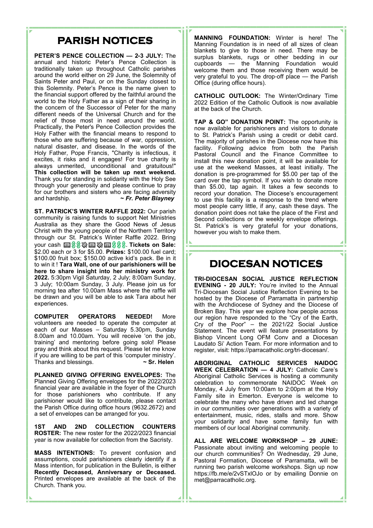## **PARISH NOTICES**

**PETER'S PENCE COLLECTION — 2-3 JULY:** The annual and historic Peter's Pence Collection is traditionally taken up throughout Catholic parishes around the world either on 29 June, the Solemnity of Saints Peter and Paul, or on the Sunday closest to this Solemnity. Peter's Pence is the name given to the financial support offered by the faithful around the world to the Holy Father as a sign of their sharing in the concern of the Successor of Peter for the many different needs of the Universal Church and for the relief of those most in need around the world. Practically, the Peter's Pence Collection provides the Holy Father with the financial means to respond to those who are suffering because of war, oppression, natural disaster, and disease. In the words of the Holy Father, Pope Francis, "Charity is infectious, it excites, it risks and it engages! For true charity is always unmerited, unconditional and gratuitous!" **This collection will be taken up next weekend.** Thank you for standing in solidarity with the Holy See through your generosity and please continue to pray for our brothers and sisters who are facing adversity and hardship. **~** *Fr. Peter Blayney*

**ST. PATRICK'S WINTER RAFFLE 2022:** Our parish community is raising funds to support Net Ministries Australia as they share the Good News of Jesus Christ with the young people of the Northern Territory through our St. Patrick's Winter Raffle 2022. Bring your cash --. **Tickets on Sale:** \$2.00 each or 3 for \$5.00. **Prizes:** \$100.00 fuel card; \$100.00 fruit box; \$150.00 active kid's pack. Be in it to win it ! **Tara Wall, one of our parishioners will be here to share insight into her ministry work for 2022.** 5:30pm Vigil Saturday, 2 July; 8:00am Sunday, 3 July; 10:00am Sunday, 3 July. Please join us for morning tea after 10.00am Mass where the raffle will be drawn and you will be able to ask Tara about her experiences.

**COMPUTER OPERATORS NEEDED!** More volunteers are needed to operate the computer at each of our Masses – Saturday 5.30pm, Sunday 8.00am and 10.00am. You will receive 'on the job, training' and mentoring before going solo! Please pray and think about this request. Please let me know if you are willing to be part of this 'computer ministry'. Thanks and blessings. **~ Sr. Helen**

**PLANNED GIVING OFFERING ENVELOPES:** The Planned Giving Offering envelopes for the 2022/2023 financial year are available in the foyer of the Church for those parishioners who contribute. If any parishioner would like to contribute, please contact the Parish Office during office hours (9632.2672) and a set of envelopes can be arranged for you.

**1ST AND 2ND COLLECTION COUNTERS ROSTER:** The new roster for the 2022/2023 financial year is now available for collection from the Sacristy.

**MASS INTENTIONS:** To prevent confusion and assumptions, could parishioners clearly identify if a Mass intention, for publication in the Bulletin, is either **Recently Deceased, Anniversary or Deceased.** Printed envelopes are available at the back of the Church. Thank you.

**MANNING FOUNDATION:** Winter is here! The Manning Foundation is in need of all sizes of clean blankets to give to those in need. There may be surplus blankets, rugs or other bedding in our cupboards — the Manning Foundation would welcome them and those receiving them would be very grateful to you. The drop-off place — the Parish Office (during office hours).

**CATHOLIC OUTLOOK:** The Winter/Ordinary Time 2022 Edition of the Catholic Outlook is now available at the back of the Church.

**TAP & GO" DONATION POINT:** The opportunity is now available for parishioners and visitors to donate to St. Patrick's Parish using a credit or debit card. The majority of parishes in the Diocese now have this facility. Following advice from both the Parish Pastoral Council and the Finance Committee to install this new donation point, it will be available for use at the weekend Masses, at least initially. The donation is pre-programmed for \$5.00 per tap of the card over the tap symbol. If you wish to donate more than \$5.00, tap again. It takes a few seconds to record your donation. The Diocese's encouragement to use this facility is a response to the trend where most people carry little, if any, cash these days. The donation point does not take the place of the First and Second collections or the weekly envelope offerings. St. Patrick's is very grateful for your donations, however you wish to make them.

### **DIOCESAN NOTICES**

**TRI-DIOCESAN SOCIAL JUSTICE REFLECTION EVENING - 20 JULY:** You're invited to the Annual Tri-Diocesan Social Justice Reflection Evening to be hosted by the Diocese of Parramatta in partnership with the Archdiocese of Sydney and the Diocese of Broken Bay. This year we explore how people across our region have responded to the "Cry of the Earth, Cry of the Poor" – the 2021/22 Social Justice Statement. The event will feature presentations by Bishop Vincent Long OFM Conv and a Diocesan Laudato Si' Action Team. For more information and to register, visit: https://parracatholic.org/tri-diocesan/.

**ABORIGINAL CATHOLIC SERVICES NAIDOC WEEK CELEBRATION — 4 JULY:** Catholic Care's Aboriginal Catholic Services is hosting a community celebration to commemorate NAIDOC Week on Monday, 4 July from 10:00am to 2:00pm at the Holy Family site in Emerton. Everyone is welcome to celebrate the many who have driven and led change in our communities over generations with a variety of entertainment, music, rides, stalls and more. Show your solidarity and have some family fun with members of our local Aboriginal community.

**ALL ARE WELCOME WORKSHOP – 29 JUNE:** Passionate about inviting and welcoming people to our church communities? On Wednesday, 29 June, Pastoral Formation, Diocese of Parramatta, will be running two parish welcome workshops. Sign up now https://fb.me/e/2vSTxlOJo or by emailing Donnie on met@parracatholic.org.